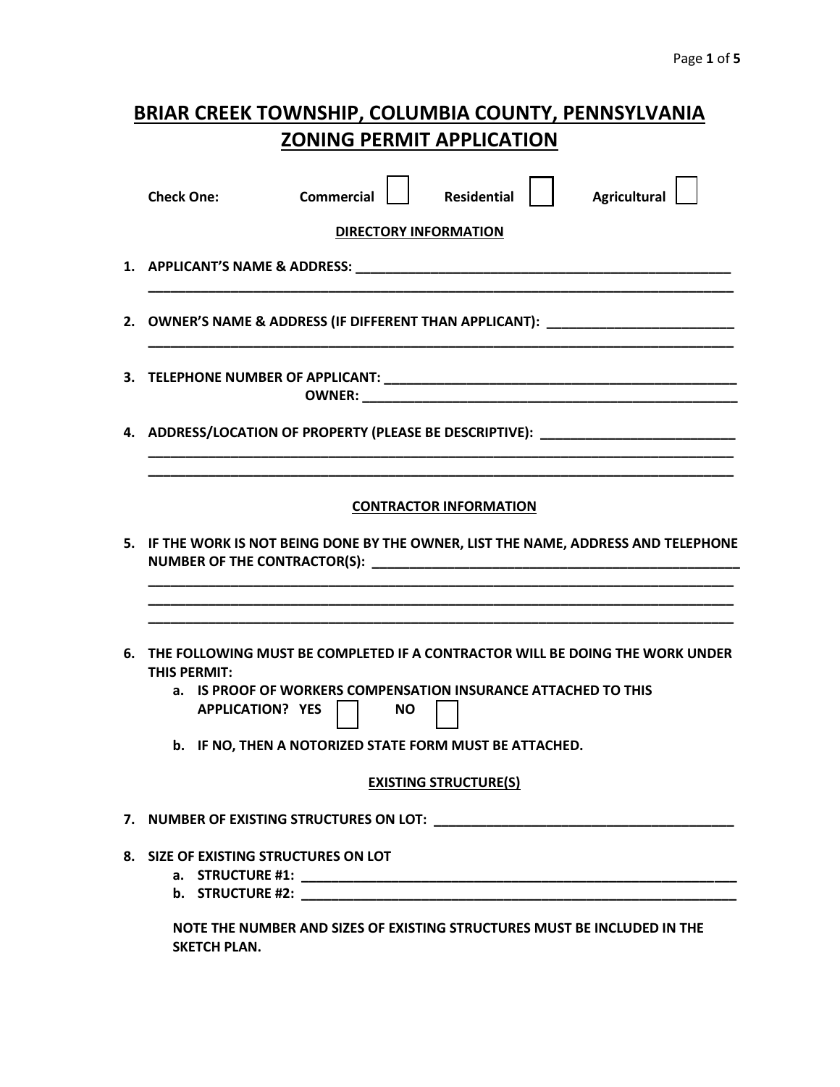| <b>BRIAR CREEK TOWNSHIP, COLUMBIA COUNTY, PENNSYLVANIA</b> |  |
|------------------------------------------------------------|--|
| <b>ZONING PERMIT APPLICATION</b>                           |  |

|    | <b>Agricultural</b><br><b>Commercial</b><br><b>Residential</b><br><b>Check One:</b>                                                                                                                                                                            |  |  |  |  |  |
|----|----------------------------------------------------------------------------------------------------------------------------------------------------------------------------------------------------------------------------------------------------------------|--|--|--|--|--|
|    | <b>DIRECTORY INFORMATION</b>                                                                                                                                                                                                                                   |  |  |  |  |  |
|    |                                                                                                                                                                                                                                                                |  |  |  |  |  |
|    | 2. OWNER'S NAME & ADDRESS (IF DIFFERENT THAN APPLICANT): _______________________                                                                                                                                                                               |  |  |  |  |  |
|    |                                                                                                                                                                                                                                                                |  |  |  |  |  |
| 4. | ADDRESS/LOCATION OF PROPERTY (PLEASE BE DESCRIPTIVE): __________________________                                                                                                                                                                               |  |  |  |  |  |
|    | <b>CONTRACTOR INFORMATION</b>                                                                                                                                                                                                                                  |  |  |  |  |  |
|    | 5. IF THE WORK IS NOT BEING DONE BY THE OWNER, LIST THE NAME, ADDRESS AND TELEPHONE                                                                                                                                                                            |  |  |  |  |  |
| 6. | THE FOLLOWING MUST BE COMPLETED IF A CONTRACTOR WILL BE DOING THE WORK UNDER<br>THIS PERMIT:<br>IS PROOF OF WORKERS COMPENSATION INSURANCE ATTACHED TO THIS<br><b>APPLICATION? YES</b><br><b>NO</b><br>b. IF NO, THEN A NOTORIZED STATE FORM MUST BE ATTACHED. |  |  |  |  |  |
|    | <b>EXISTING STRUCTURE(S)</b>                                                                                                                                                                                                                                   |  |  |  |  |  |
|    |                                                                                                                                                                                                                                                                |  |  |  |  |  |
|    | 8. SIZE OF EXISTING STRUCTURES ON LOT                                                                                                                                                                                                                          |  |  |  |  |  |
|    | NOTE THE NUMBER AND CIZES OF EVICTING STRUCTURES MUST BE INCLUDED IN THE                                                                                                                                                                                       |  |  |  |  |  |

**NOTE THE NUMBER AND SIZES OF EXISTING STRUCTURES MUST BE INCLUDED IN THE SKETCH PLAN.**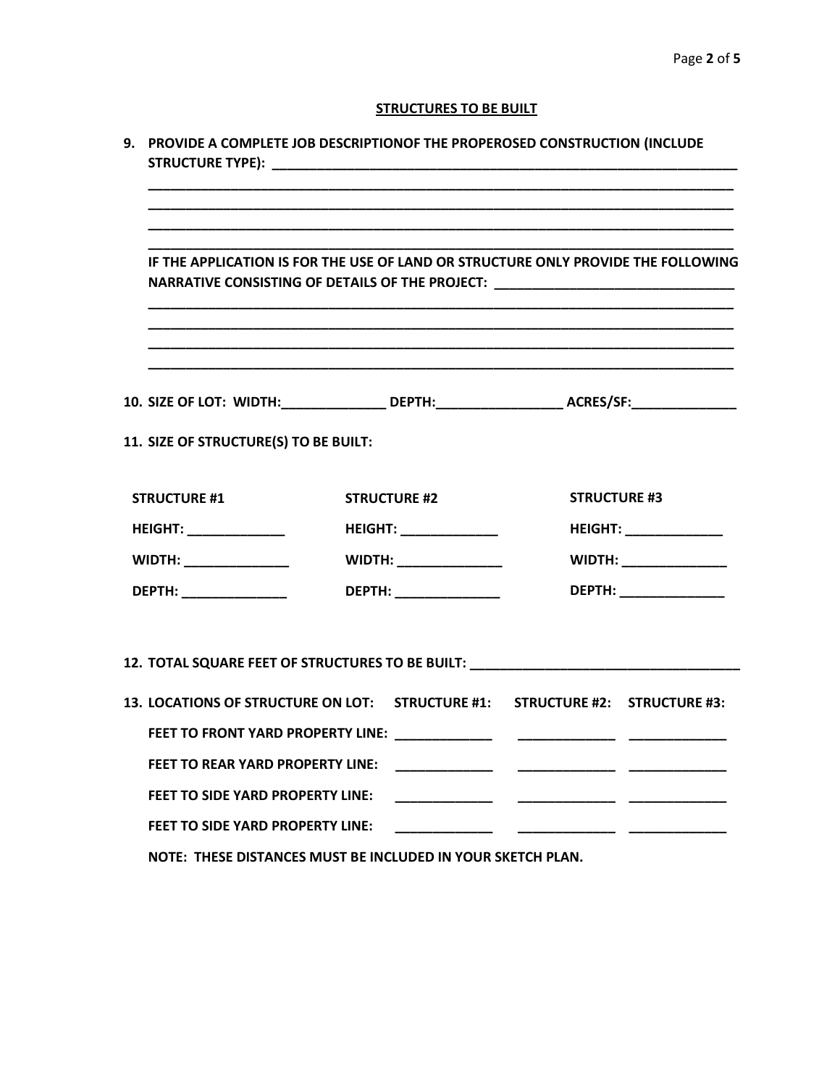## **STRUCTURES TO BE BUILT**

|                                                                                  | 9. PROVIDE A COMPLETE JOB DESCRIPTIONOF THE PROPEROSED CONSTRUCTION (INCLUDE<br>IF THE APPLICATION IS FOR THE USE OF LAND OR STRUCTURE ONLY PROVIDE THE FOLLOWING<br>NARRATIVE CONSISTING OF DETAILS OF THE PROJECT: ________________________________ |                                  |                     |                               |  |  |  |
|----------------------------------------------------------------------------------|-------------------------------------------------------------------------------------------------------------------------------------------------------------------------------------------------------------------------------------------------------|----------------------------------|---------------------|-------------------------------|--|--|--|
|                                                                                  |                                                                                                                                                                                                                                                       |                                  |                     |                               |  |  |  |
|                                                                                  | <u> 1989 - Johann Stoff, amerikansk politiker (d. 1989)</u>                                                                                                                                                                                           |                                  |                     |                               |  |  |  |
| 10. SIZE OF LOT: WIDTH:_________________DEPTH:__________________________________ |                                                                                                                                                                                                                                                       |                                  |                     |                               |  |  |  |
| 11. SIZE OF STRUCTURE(S) TO BE BUILT:                                            |                                                                                                                                                                                                                                                       |                                  |                     |                               |  |  |  |
| <b>STRUCTURE #1</b>                                                              | <b>STRUCTURE #2</b>                                                                                                                                                                                                                                   |                                  | <b>STRUCTURE #3</b> |                               |  |  |  |
| <b>HEIGHT: _________________</b>                                                 |                                                                                                                                                                                                                                                       | <b>HEIGHT: ________________</b>  |                     | HEIGHT: New York Products     |  |  |  |
| <b>WIDTH: ______________</b>                                                     |                                                                                                                                                                                                                                                       | <b>WIDTH: _______________</b> __ |                     | <b>WIDTH:</b> _______________ |  |  |  |
| <b>DEPTH:</b> _______________                                                    |                                                                                                                                                                                                                                                       | <b>DEPTH:</b> ________________   |                     | <b>DEPTH: _______________</b> |  |  |  |
| 12. TOTAL SQUARE FEET OF STRUCTURES TO BE BUILT: _______________________________ |                                                                                                                                                                                                                                                       |                                  |                     |                               |  |  |  |
| 13. LOCATIONS OF STRUCTURE ON LOT: STRUCTURE #1: STRUCTURE #2: STRUCTURE #3:     |                                                                                                                                                                                                                                                       |                                  |                     |                               |  |  |  |
|                                                                                  |                                                                                                                                                                                                                                                       |                                  |                     |                               |  |  |  |
| <b>FEET TO REAR YARD PROPERTY LINE:</b>                                          |                                                                                                                                                                                                                                                       |                                  |                     |                               |  |  |  |
| <b>FEET TO SIDE YARD PROPERTY LINE:</b>                                          |                                                                                                                                                                                                                                                       |                                  |                     |                               |  |  |  |
| <b>FEET TO SIDE YARD PROPERTY LINE:</b>                                          |                                                                                                                                                                                                                                                       |                                  |                     |                               |  |  |  |
|                                                                                  | NOTE: THESE DISTANCES MUST BE INCLUDED IN YOUR SKETCH PLAN.                                                                                                                                                                                           |                                  |                     |                               |  |  |  |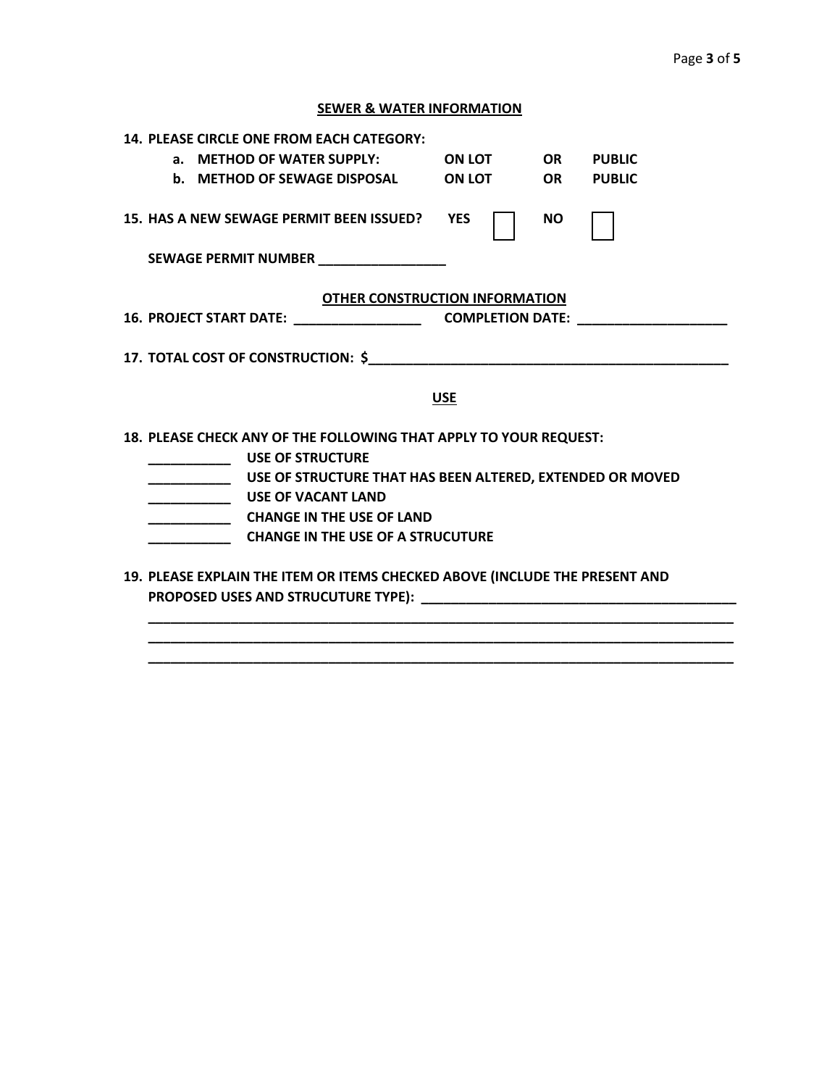## **SEWER & WATER INFORMATION**

|                                                                                  | <b>14. PLEASE CIRCLE ONE FROM EACH CATEGORY:</b>                                             |            |           |               |  |
|----------------------------------------------------------------------------------|----------------------------------------------------------------------------------------------|------------|-----------|---------------|--|
|                                                                                  | a. METHOD OF WATER SUPPLY: ON LOT                                                            |            |           | OR PUBLIC     |  |
|                                                                                  | b. METHOD OF SEWAGE DISPOSAL ON LOT                                                          |            | <b>OR</b> | <b>PUBLIC</b> |  |
|                                                                                  | 15. HAS A NEW SEWAGE PERMIT BEEN ISSUED? YES                                                 |            | <b>NO</b> |               |  |
|                                                                                  | SEWAGE PERMIT NUMBER _________________                                                       |            |           |               |  |
|                                                                                  | <b>OTHER CONSTRUCTION INFORMATION</b>                                                        |            |           |               |  |
|                                                                                  |                                                                                              |            |           |               |  |
|                                                                                  |                                                                                              |            |           |               |  |
|                                                                                  |                                                                                              | <b>USE</b> |           |               |  |
|                                                                                  | 18. PLEASE CHECK ANY OF THE FOLLOWING THAT APPLY TO YOUR REQUEST:<br><b>USE OF STRUCTURE</b> |            |           |               |  |
| _______________________USE OF STRUCTURE THAT HAS BEEN ALTERED, EXTENDED OR MOVED |                                                                                              |            |           |               |  |
| USE OF VACANT LAND                                                               |                                                                                              |            |           |               |  |
| ________________________CHANGE IN THE USE OF LAND                                |                                                                                              |            |           |               |  |
| <b>CHANGE IN THE USE OF A STRUCUTURE</b>                                         |                                                                                              |            |           |               |  |
|                                                                                  | 19. PLEASE EXPLAIN THE ITEM OR ITEMS CHECKED ABOVE (INCLUDE THE PRESENT AND                  |            |           |               |  |

**\_\_\_\_\_\_\_\_\_\_\_\_\_\_\_\_\_\_\_\_\_\_\_\_\_\_\_\_\_\_\_\_\_\_\_\_\_\_\_\_\_\_\_\_\_\_\_\_\_\_\_\_\_\_\_\_\_\_\_\_\_\_\_\_\_\_\_\_\_\_\_\_\_\_\_\_\_\_ \_\_\_\_\_\_\_\_\_\_\_\_\_\_\_\_\_\_\_\_\_\_\_\_\_\_\_\_\_\_\_\_\_\_\_\_\_\_\_\_\_\_\_\_\_\_\_\_\_\_\_\_\_\_\_\_\_\_\_\_\_\_\_\_\_\_\_\_\_\_\_\_\_\_\_\_\_\_ \_\_\_\_\_\_\_\_\_\_\_\_\_\_\_\_\_\_\_\_\_\_\_\_\_\_\_\_\_\_\_\_\_\_\_\_\_\_\_\_\_\_\_\_\_\_\_\_\_\_\_\_\_\_\_\_\_\_\_\_\_\_\_\_\_\_\_\_\_\_\_\_\_\_\_\_\_\_**

**PROPOSED USES AND STRUCUTURE TYPE): \_\_\_\_\_\_\_\_\_\_\_\_\_\_\_\_\_\_\_\_\_\_\_\_\_\_\_\_\_\_\_\_\_\_\_\_\_\_\_\_\_\_**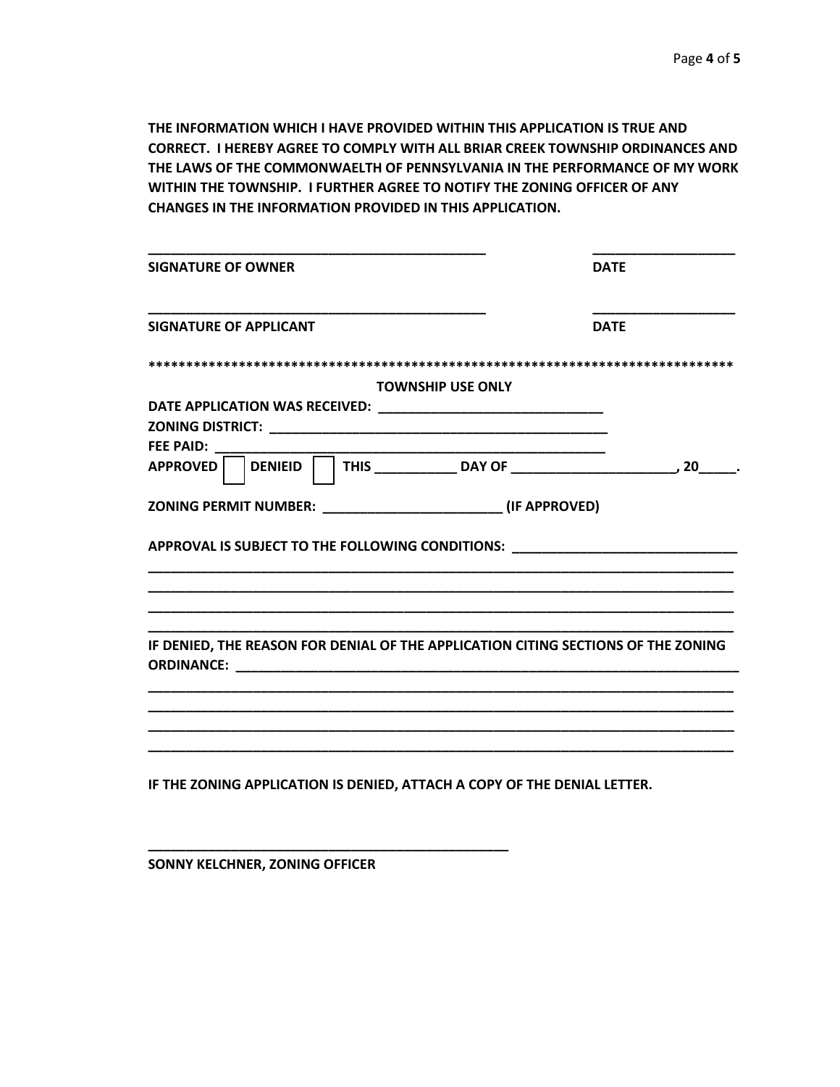**THE INFORMATION WHICH I HAVE PROVIDED WITHIN THIS APPLICATION IS TRUE AND CORRECT. I HEREBY AGREE TO COMPLY WITH ALL BRIAR CREEK TOWNSHIP ORDINANCES AND THE LAWS OF THE COMMONWAELTH OF PENNSYLVANIA IN THE PERFORMANCE OF MY WORK WITHIN THE TOWNSHIP. I FURTHER AGREE TO NOTIFY THE ZONING OFFICER OF ANY CHANGES IN THE INFORMATION PROVIDED IN THIS APPLICATION.**

| <b>SIGNATURE OF OWNER</b>                                                                         | <b>DATE</b> |
|---------------------------------------------------------------------------------------------------|-------------|
| <b>SIGNATURE OF APPLICANT</b>                                                                     | <b>DATE</b> |
|                                                                                                   |             |
| <b>TOWNSHIP USE ONLY</b>                                                                          |             |
|                                                                                                   |             |
|                                                                                                   |             |
| FEE PAID:                                                                                         |             |
|                                                                                                   |             |
|                                                                                                   |             |
| APPROVAL IS SUBJECT TO THE FOLLOWING CONDITIONS: APPROVAL IS SUBJECT TO THE FOLLOWING CONDITIONS: |             |
| IF DENIED, THE REASON FOR DENIAL OF THE APPLICATION CITING SECTIONS OF THE ZONING                 |             |
|                                                                                                   |             |
| IF THE ZONING APPLICATION IS DENIED, ATTACH A COPY OF THE DENIAL LETTER.                          |             |

**SONNY KELCHNER, ZONING OFFICER**

**\_\_\_\_\_\_\_\_\_\_\_\_\_\_\_\_\_\_\_\_\_\_\_\_\_\_\_\_\_\_\_\_\_\_\_\_\_\_\_\_\_\_\_\_\_\_\_\_**